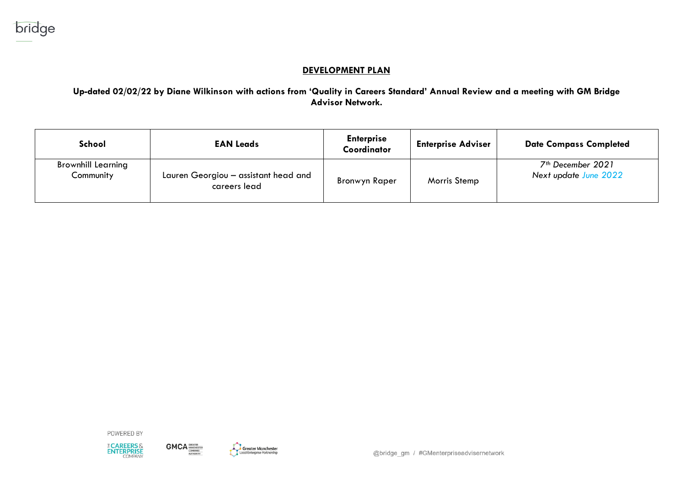## **DEVELOPMENT PLAN**

**Up-dated 02/02/22 by Diane Wilkinson with actions from 'Quality in Careers Standard' Annual Review and a meeting with GM Bridge Advisor Network.**

| School                                 | <b>EAN Leads</b>                                     | <b>Enterprise</b><br>Coordinator | <b>Enterprise Adviser</b> | <b>Date Compass Completed</b>                          |
|----------------------------------------|------------------------------------------------------|----------------------------------|---------------------------|--------------------------------------------------------|
| <b>Brownhill Learning</b><br>Community | Lauren Georgiou - assistant head and<br>careers lead | Bronwyn Raper                    | Morris Stemp              | 7 <sup>th</sup> December 2021<br>Next update June 2022 |

POWERED BY



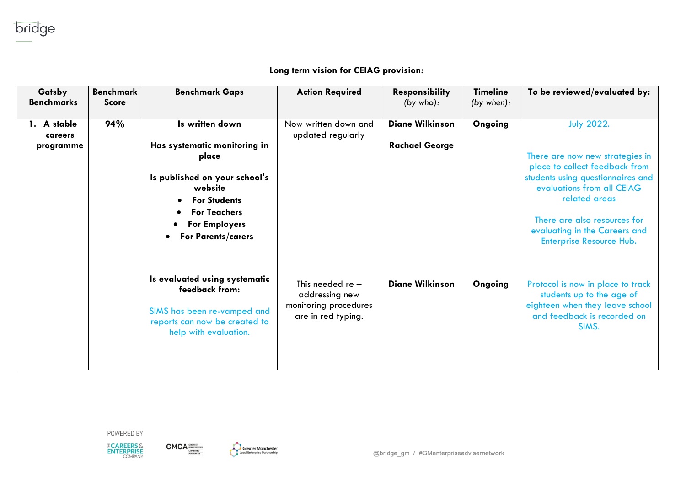## Long term vision for CEIAG provision:

| Gatsby<br><b>Benchmarks</b> | <b>Benchmark</b><br><b>Score</b> | <b>Benchmark Gaps</b>                                                                                                                                    | <b>Action Required</b>                                                              | <b>Responsibility</b><br>(by who): | <b>Timeline</b><br>(by when): | To be reviewed/evaluated by:                                                                                                                                                                                    |
|-----------------------------|----------------------------------|----------------------------------------------------------------------------------------------------------------------------------------------------------|-------------------------------------------------------------------------------------|------------------------------------|-------------------------------|-----------------------------------------------------------------------------------------------------------------------------------------------------------------------------------------------------------------|
| 1. A stable                 | 94%                              | Is written down                                                                                                                                          | Now written down and                                                                | <b>Diane Wilkinson</b>             | Ongoing                       | <b>July 2022.</b>                                                                                                                                                                                               |
| careers                     |                                  |                                                                                                                                                          | updated regularly                                                                   |                                    |                               |                                                                                                                                                                                                                 |
| programme                   |                                  | Has systematic monitoring in<br>place                                                                                                                    |                                                                                     | <b>Rachael George</b>              |                               | There are now new strategies in                                                                                                                                                                                 |
|                             |                                  | Is published on your school's<br>website<br><b>For Students</b><br><b>For Teachers</b><br><b>For Employers</b><br><b>For Parents/carers</b><br>$\bullet$ |                                                                                     |                                    |                               | place to collect feedback from<br>students using questionnaires and<br>evaluations from all CEIAG<br>related areas<br>There are also resources for<br>evaluating in the Careers and<br>Enterprise Resource Hub. |
|                             |                                  | Is evaluated using systematic<br>feedback from:<br>SIMS has been re-vamped and<br>reports can now be created to<br>help with evaluation.                 | This needed re $-$<br>addressing new<br>monitoring procedures<br>are in red typing. | <b>Diane Wilkinson</b>             | Ongoing                       | Protocol is now in place to track<br>students up to the age of<br>eighteen when they leave school<br>and feedback is recorded on<br>SIMS.                                                                       |

POWERED BY





 $GMCA_{\frac{\text{GNAETER}}{\text{GOMBMED}}}$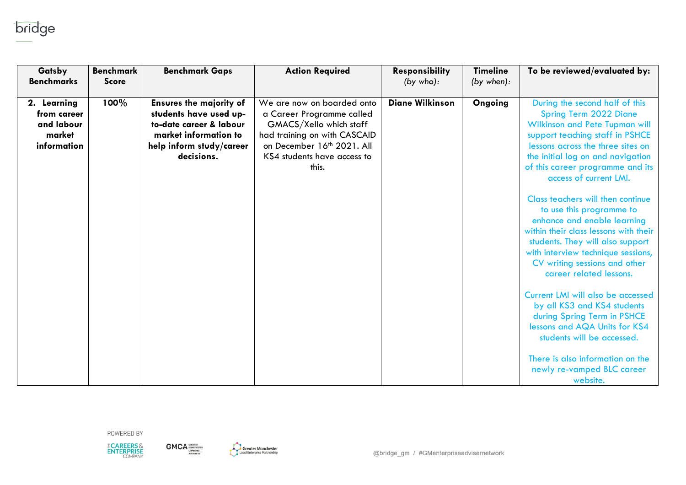

| Gatsby<br><b>Benchmarks</b>                                       | <b>Benchmark</b><br><b>Score</b> | <b>Benchmark Gaps</b>                                                                                                                                  | <b>Action Required</b>                                                                                                                                                                   | Responsibility<br>(by who): | <b>Timeline</b><br>(by when): | To be reviewed/evaluated by:                                                                                                                                                                                                                                                                                                                                                                                                                                                                                                                                                                                                           |
|-------------------------------------------------------------------|----------------------------------|--------------------------------------------------------------------------------------------------------------------------------------------------------|------------------------------------------------------------------------------------------------------------------------------------------------------------------------------------------|-----------------------------|-------------------------------|----------------------------------------------------------------------------------------------------------------------------------------------------------------------------------------------------------------------------------------------------------------------------------------------------------------------------------------------------------------------------------------------------------------------------------------------------------------------------------------------------------------------------------------------------------------------------------------------------------------------------------------|
| 2. Learning<br>from career<br>and labour<br>market<br>information | 100%                             | <b>Ensures the majority of</b><br>students have used up-<br>to-date career & labour<br>market information to<br>help inform study/career<br>decisions. | We are now on boarded onto<br>a Career Programme called<br>GMACS/Xello which staff<br>had training on with CASCAID<br>on December 16th 2021. All<br>KS4 students have access to<br>this. | <b>Diane Wilkinson</b>      | Ongoing                       | During the second half of this<br><b>Spring Term 2022 Diane</b><br><b>Wilkinson and Pete Tupman will</b><br>support teaching staff in PSHCE<br>lessons across the three sites on<br>the initial log on and navigation<br>of this career programme and its<br>access of current LMI.<br>Class teachers will then continue<br>to use this programme to<br>enhance and enable learning<br>within their class lessons with their<br>students. They will also support<br>with interview technique sessions,<br>CV writing sessions and other<br>career related lessons.<br>Current LMI will also be accessed<br>by all KS3 and KS4 students |
|                                                                   |                                  |                                                                                                                                                        |                                                                                                                                                                                          |                             |                               | during Spring Term in PSHCE<br>lessons and AQA Units for KS4<br>students will be accessed.<br>There is also information on the<br>newly re-vamped BLC career<br>website.                                                                                                                                                                                                                                                                                                                                                                                                                                                               |



 $GMCA$ 

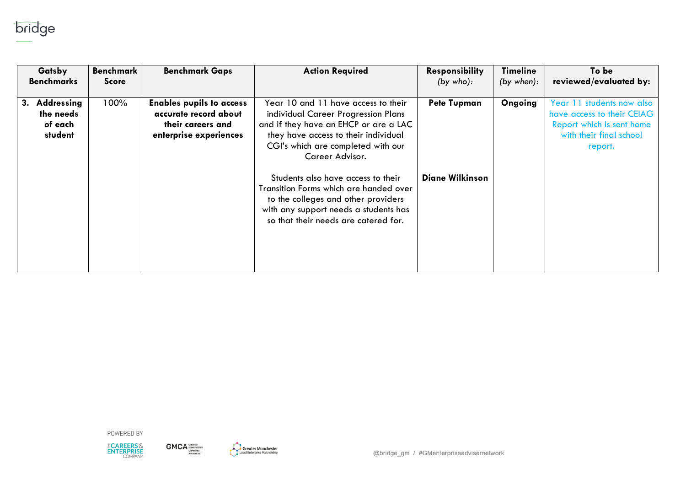

| Gatsby                                              | Benchmark    | <b>Benchmark Gaps</b>                                                                                   | <b>Action Required</b>                                                                                                                                                                               | <b>Responsibility</b>  | Timeline   | To be                                                                                                           |
|-----------------------------------------------------|--------------|---------------------------------------------------------------------------------------------------------|------------------------------------------------------------------------------------------------------------------------------------------------------------------------------------------------------|------------------------|------------|-----------------------------------------------------------------------------------------------------------------|
| <b>Benchmarks</b>                                   | <b>Score</b> |                                                                                                         |                                                                                                                                                                                                      | (by who):              | (by when): | reviewed/evaluated by:                                                                                          |
| Addressing<br>3.<br>the needs<br>of each<br>student | 100%         | <b>Enables pupils to access</b><br>accurate record about<br>their careers and<br>enterprise experiences | Year 10 and 11 have access to their<br>individual Career Progression Plans<br>and if they have an EHCP or are a LAC<br>they have access to their individual                                          | <b>Pete Tupman</b>     | Ongoing    | Year 11 students now also<br>have access to their CEIAG<br>Report which is sent home<br>with their final school |
|                                                     |              |                                                                                                         | CGI's which are completed with our<br>Career Advisor.                                                                                                                                                |                        |            | report.                                                                                                         |
|                                                     |              |                                                                                                         | Students also have access to their<br>Transition Forms which are handed over<br>to the colleges and other providers<br>with any support needs a students has<br>so that their needs are catered for. | <b>Diane Wilkinson</b> |            |                                                                                                                 |



 $\text{GMCA}^{\text{GRLATER}}_{\text{COMBMEO}}$ 

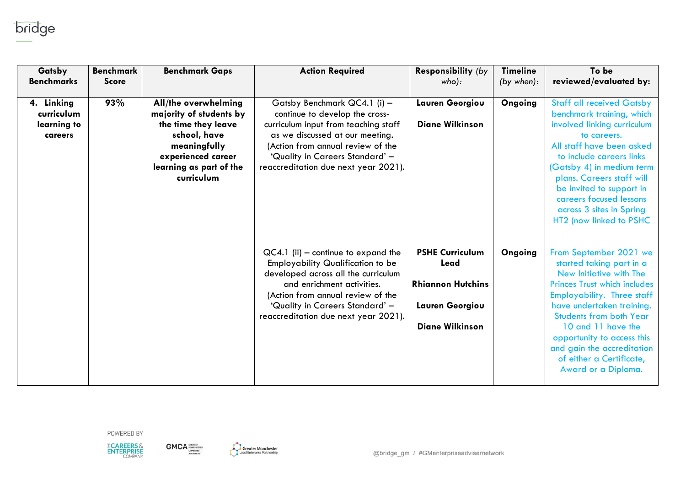

| Gatsby<br><b>Benchmarks</b>                        | <b>Benchmark</b><br><b>Score</b> | <b>Benchmark Gaps</b>                                                                                                                                                 | <b>Action Required</b>                                                                                                                                                                                                                                                 | <b>Responsibility (by</b><br>who):                                                                      | <b>Timeline</b><br>(by when): | To be<br>reviewed/evaluated by:                                                                                                                                                                                                                                                                                                                               |
|----------------------------------------------------|----------------------------------|-----------------------------------------------------------------------------------------------------------------------------------------------------------------------|------------------------------------------------------------------------------------------------------------------------------------------------------------------------------------------------------------------------------------------------------------------------|---------------------------------------------------------------------------------------------------------|-------------------------------|---------------------------------------------------------------------------------------------------------------------------------------------------------------------------------------------------------------------------------------------------------------------------------------------------------------------------------------------------------------|
| 4. Linking<br>curriculum<br>learning to<br>careers | 93%                              | All/the overwhelming<br>majority of students by<br>the time they leave<br>school, have<br>meaningfully<br>experienced career<br>learning as part of the<br>curriculum | Gatsby Benchmark QC4.1 (i) -<br>continue to develop the cross-<br>curriculum input from teaching staff<br>as we discussed at our meeting.<br>(Action from annual review of the<br>'Quality in Careers Standard' -<br>reaccreditation due next year 2021).              | Lauren Georgiou<br><b>Diane Wilkinson</b>                                                               | Ongoing                       | <b>Staff all received Gatsby</b><br>benchmark training, which<br>involved linking curriculum<br>to careers.<br>All staff have been asked<br>to include careers links<br>(Gatsby 4) in medium term<br>plans. Careers staff will<br>be invited to support in<br>careers focused lessons<br>across 3 sites in Spring<br>HT2 (now linked to PSHC                  |
|                                                    |                                  |                                                                                                                                                                       | $QC4.1$ (ii) – continue to expand the<br><b>Employability Qualification to be</b><br>developed across all the curriculum<br>and enrichment activities.<br>(Action from annual review of the<br>'Quality in Careers Standard' -<br>reaccreditation due next year 2021). | <b>PSHE Curriculum</b><br>Lead<br><b>Rhiannon Hutchins</b><br>Lauren Georgiou<br><b>Diane Wilkinson</b> | Ongoing                       | From September 2021 we<br>started taking part in a<br>New Initiative with The<br><b>Princes Trust which includes</b><br><b>Employability. Three staff</b><br>have undertaken training.<br><b>Students from both Year</b><br>10 and 11 have the<br>opportunity to access this<br>and gain the accreditation<br>of either a Certificate,<br>Award or a Diploma. |





 $GMCA$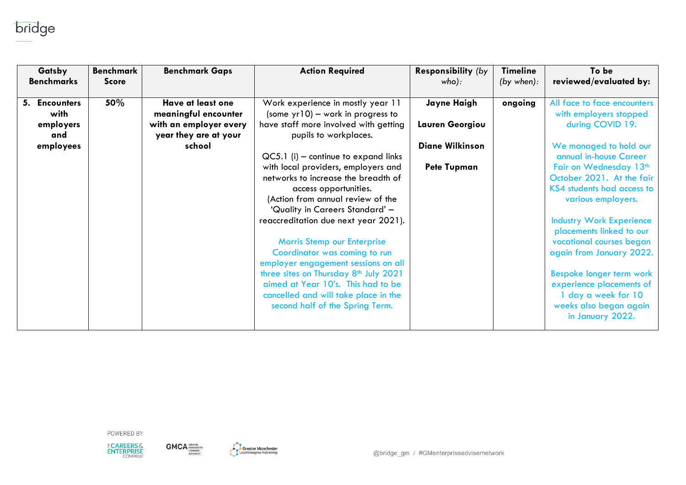

| Gatsby<br><b>Benchmarks</b> | <b>Benchmark</b><br><b>Score</b> | <b>Benchmark Gaps</b>                           | <b>Action Required</b>                                                                                                                                             | <b>Responsibility (by</b><br>who): | <b>Timeline</b><br>(by when): | To be<br>reviewed/evaluated by:                                                                       |
|-----------------------------|----------------------------------|-------------------------------------------------|--------------------------------------------------------------------------------------------------------------------------------------------------------------------|------------------------------------|-------------------------------|-------------------------------------------------------------------------------------------------------|
| 5. Encounters<br>with       | 50%                              | Have at least one<br>meaningful encounter       | Work experience in mostly year 11<br>(some $yr10$ ) – work in progress to                                                                                          | Jayne Haigh                        | ongoing                       | All face to face encounters<br>with employers stopped                                                 |
| employers<br>and            |                                  | with an employer every<br>year they are at your | have staff more involved with getting<br>pupils to workplaces.                                                                                                     | Lauren Georgiou                    |                               | during COVID 19.                                                                                      |
| employees                   |                                  | school                                          | $QC5.1$ (i) – continue to expand links                                                                                                                             | <b>Diane Wilkinson</b>             |                               | We managed to hold our<br>annual in-house Career                                                      |
|                             |                                  |                                                 | with local providers, employers and<br>networks to increase the breadth of                                                                                         | <b>Pete Tupman</b>                 |                               | Fair on Wednesday 13th<br>October 2021. At the fair                                                   |
|                             |                                  |                                                 | access opportunities.<br>(Action from annual review of the<br>'Quality in Careers Standard' -                                                                      |                                    |                               | KS4 students had access to<br>various employers.                                                      |
|                             |                                  |                                                 | reaccreditation due next year 2021).                                                                                                                               |                                    |                               | <b>Industry Work Experience</b><br>placements linked to our                                           |
|                             |                                  |                                                 | Morris Stemp our Enterprise<br>Coordinator was coming to run<br>employer engagement sessions on all                                                                |                                    |                               | vocational courses began<br>again from January 2022.                                                  |
|                             |                                  |                                                 | three sites on Thursday 8 <sup>th</sup> July 2021<br>aimed at Year 10's. This had to be<br>cancelled and will take place in the<br>second half of the Spring Term. |                                    |                               | Bespoke longer term work<br>experience placements of<br>1 day a week for 10<br>weeks also began again |
|                             |                                  |                                                 |                                                                                                                                                                    |                                    |                               | in January 2022.                                                                                      |



**GMCA COMENTER** 

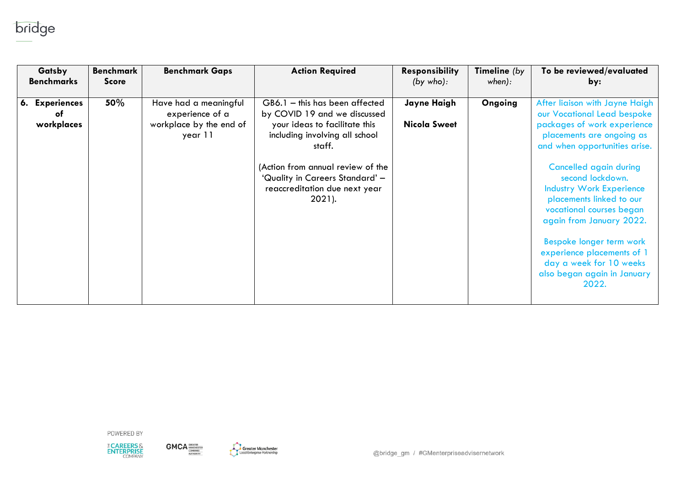

| Gatsby                             | <b>Benchmark</b> | <b>Benchmark Gaps</b>                                                          | <b>Action Required</b>                                                                                                                                                                                                                                            | <b>Responsibility</b>              | Timeline (by | To be reviewed/evaluated                                                                                                                                                                                                                                                                                                                                                                                                                                            |
|------------------------------------|------------------|--------------------------------------------------------------------------------|-------------------------------------------------------------------------------------------------------------------------------------------------------------------------------------------------------------------------------------------------------------------|------------------------------------|--------------|---------------------------------------------------------------------------------------------------------------------------------------------------------------------------------------------------------------------------------------------------------------------------------------------------------------------------------------------------------------------------------------------------------------------------------------------------------------------|
| <b>Benchmarks</b>                  | <b>Score</b>     |                                                                                |                                                                                                                                                                                                                                                                   | (by who):                          | when):       | by:                                                                                                                                                                                                                                                                                                                                                                                                                                                                 |
| 6. Experiences<br>оf<br>workplaces | 50%              | Have had a meaningful<br>experience of a<br>workplace by the end of<br>year 11 | GB6.1 - this has been affected<br>by COVID 19 and we discussed<br>your ideas to facilitate this<br>including involving all school<br>staff.<br>(Action from annual review of the<br>'Quality in Careers Standard' -<br>reaccreditation due next year<br>$2021$ ). | Jayne Haigh<br><b>Nicola Sweet</b> | Ongoing      | After liaison with Jayne Haigh<br>our Vocational Lead bespoke<br>packages of work experience<br>placements are ongoing as<br>and when opportunities arise.<br><b>Cancelled again during</b><br>second lockdown.<br><b>Industry Work Experience</b><br>placements linked to our<br>vocational courses began<br>again from January 2022.<br>Bespoke longer term work<br>experience placements of 1<br>day a week for 10 weeks<br>also began again in January<br>2022. |



 $\text{GMCA}^{\text{GRLATER}}_{\text{COMBMEO}}$ 

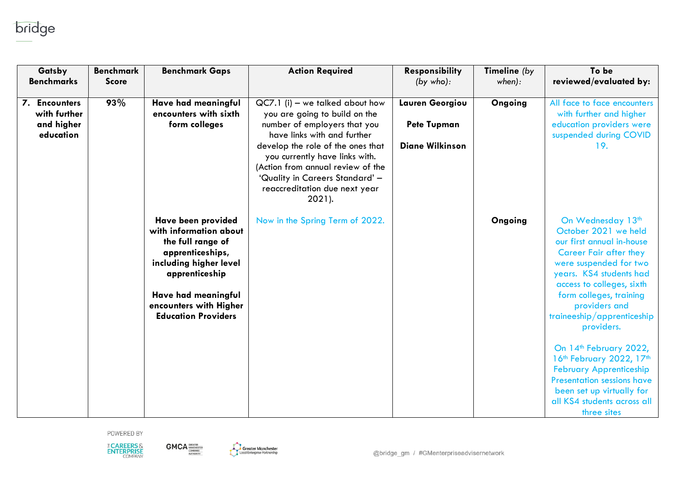

| Gatsby                                                             | <b>Benchmark</b> | <b>Benchmark Gaps</b>                                                                                                                                                                                            | <b>Action Required</b>                                                                                                                                                                                                                                                                                                         | <b>Responsibility</b>                                           | Timeline (by | To be                                                                                                                                                                                                                                                                                                                                                                                                          |
|--------------------------------------------------------------------|------------------|------------------------------------------------------------------------------------------------------------------------------------------------------------------------------------------------------------------|--------------------------------------------------------------------------------------------------------------------------------------------------------------------------------------------------------------------------------------------------------------------------------------------------------------------------------|-----------------------------------------------------------------|--------------|----------------------------------------------------------------------------------------------------------------------------------------------------------------------------------------------------------------------------------------------------------------------------------------------------------------------------------------------------------------------------------------------------------------|
| <b>Benchmarks</b>                                                  | <b>Score</b>     |                                                                                                                                                                                                                  |                                                                                                                                                                                                                                                                                                                                | (by who):                                                       | when):       | reviewed/evaluated by:                                                                                                                                                                                                                                                                                                                                                                                         |
| <b>Encounters</b><br>7.<br>with further<br>and higher<br>education | 93%              | Have had meaningful<br>encounters with sixth<br>form colleges                                                                                                                                                    | $QC7.1$ (i) – we talked about how<br>you are going to build on the<br>number of employers that you<br>have links with and further<br>develop the role of the ones that<br>you currently have links with.<br>(Action from annual review of the<br>'Quality in Careers Standard' -<br>reaccreditation due next year<br>$2021$ ). | Lauren Georgiou<br><b>Pete Tupman</b><br><b>Diane Wilkinson</b> | Ongoing      | All face to face encounters<br>with further and higher<br>education providers were<br>suspended during COVID<br>19.                                                                                                                                                                                                                                                                                            |
|                                                                    |                  | Have been provided<br>with information about<br>the full range of<br>apprenticeships,<br>including higher level<br>apprenticeship<br>Have had meaningful<br>encounters with Higher<br><b>Education Providers</b> | Now in the Spring Term of 2022.                                                                                                                                                                                                                                                                                                |                                                                 | Ongoing      | On Wednesday 13th<br>October 2021 we held<br>our first annual in-house<br><b>Career Fair after they</b><br>were suspended for two<br>years. KS4 students had<br>access to colleges, sixth<br>form colleges, training<br>providers and<br>traineeship/apprenticeship<br>providers.<br>On 14th February 2022,<br>16th February 2022, 17th<br><b>February Apprenticeship</b><br><b>Presentation sessions have</b> |
|                                                                    |                  |                                                                                                                                                                                                                  |                                                                                                                                                                                                                                                                                                                                |                                                                 |              | been set up virtually for<br>all KS4 students across all<br>three sites                                                                                                                                                                                                                                                                                                                                        |